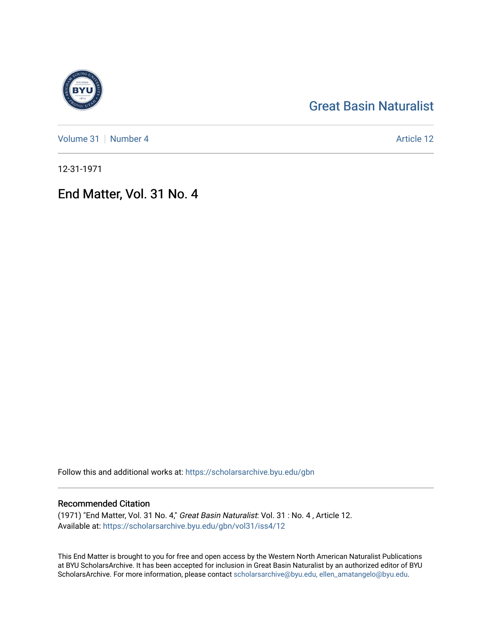# [Great Basin Naturalist](https://scholarsarchive.byu.edu/gbn)

[Volume 31](https://scholarsarchive.byu.edu/gbn/vol31) [Number 4](https://scholarsarchive.byu.edu/gbn/vol31/iss4) Article 12

12-31-1971

## End Matter, Vol. 31 No. 4

Follow this and additional works at: [https://scholarsarchive.byu.edu/gbn](https://scholarsarchive.byu.edu/gbn?utm_source=scholarsarchive.byu.edu%2Fgbn%2Fvol31%2Fiss4%2F12&utm_medium=PDF&utm_campaign=PDFCoverPages) 

### Recommended Citation

(1971) "End Matter, Vol. 31 No. 4," Great Basin Naturalist: Vol. 31 : No. 4 , Article 12. Available at: [https://scholarsarchive.byu.edu/gbn/vol31/iss4/12](https://scholarsarchive.byu.edu/gbn/vol31/iss4/12?utm_source=scholarsarchive.byu.edu%2Fgbn%2Fvol31%2Fiss4%2F12&utm_medium=PDF&utm_campaign=PDFCoverPages) 

This End Matter is brought to you for free and open access by the Western North American Naturalist Publications at BYU ScholarsArchive. It has been accepted for inclusion in Great Basin Naturalist by an authorized editor of BYU ScholarsArchive. For more information, please contact [scholarsarchive@byu.edu, ellen\\_amatangelo@byu.edu.](mailto:scholarsarchive@byu.edu,%20ellen_amatangelo@byu.edu)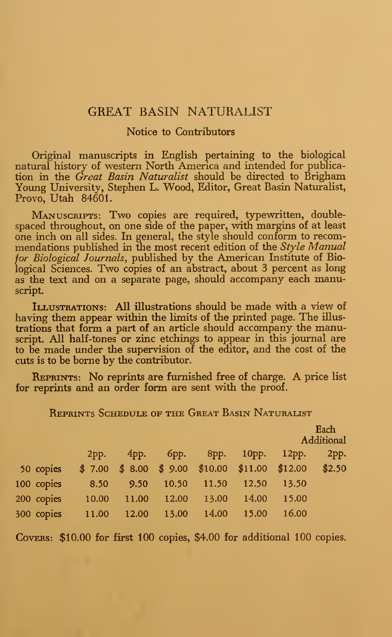#### GREAT BASIN NATURALIST

#### Notice to Contributors

Original manuscripts in English pertaining to the biological natural history of western North America and intended for publication in the Great Basin Naturalist should be directed to Brigham Young University, Stephen L. Wood, Editor, Great Basin Naturalist, Provo, Utah 84601.

Manuscripts: Two copies are required, typewritten, doublespaced throughout, on one side of the paper, with margins of at least one inch on all sides. In general, the style should conform to recom mendations published in the most recent edition of the  $Style$  Manual for *Biological Journals*, published by the American Institute of Biological Sciences. Two copies of an abstract, about 3 percent as long as the text and on a separate page, should accompany each manuscript.

ILLUSTRATIONS: All illustrations should be made with a view of having them appear within the limits of the printed page. The illustrations that form a part of an article should accompany the manuscript. All half-tones or zinc etchings to appear in this journal are to be made under the supervision of the editor, and the cost of the cuts is to be borne by the contributor.

Reprints: No reprints are furnished free of charge. A price list for reprints and an order form are sent with the proof.

Each A dilitional

| REPRINTS SCHEDULE OF THE GREAT BASIN NATURALIST |  |  |  |  |
|-------------------------------------------------|--|--|--|--|
|-------------------------------------------------|--|--|--|--|

|            | 2pp.   | $4$ pp. |       | брр. 8рр. 10рр. 12рр.                  |       |       | 2pp.   |  |
|------------|--------|---------|-------|----------------------------------------|-------|-------|--------|--|
| 50 copies  | \$7.00 |         |       | $$8.00 \$9.00 \$10.00 \$11.00 \$12.00$ |       |       | \$2.50 |  |
| 100 copies | 8.50   | 9.50    | 10.50 | 11.50                                  | 12.50 | 13.50 |        |  |
| 200 copies | 10.00  | 11.00   | 12.00 | 13.00                                  | 14.00 | 15.00 |        |  |
| 300 copies | 11.00  | 12.00   | 13.00 | 14.00                                  | 15.00 | 16.00 |        |  |
|            |        |         |       |                                        |       |       |        |  |

COVERS: \$10.00 for first 100 copies, \$4.00 for additional 100 copies.